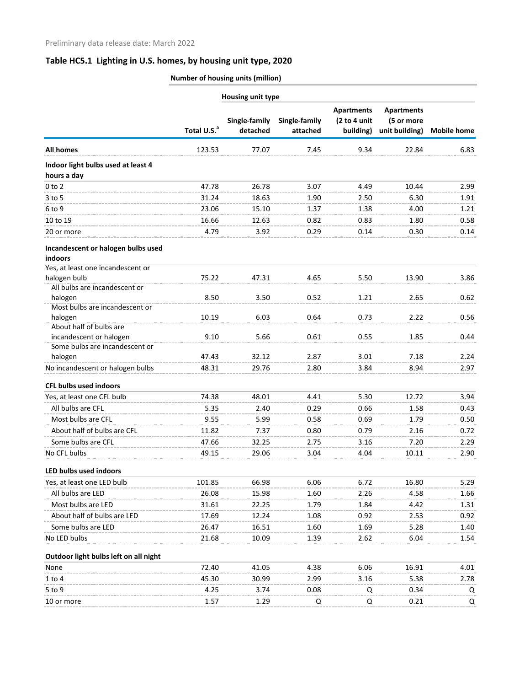# **Table HC5.1 Lighting in U.S. homes, by housing unit type, 2020**

### **Number of housing units (million)**

| Housing unit type                                                                  |                         |                           |                           |                                                |                                                   |                    |  |
|------------------------------------------------------------------------------------|-------------------------|---------------------------|---------------------------|------------------------------------------------|---------------------------------------------------|--------------------|--|
|                                                                                    | Total U.S. <sup>a</sup> | Single-family<br>detached | Single-family<br>attached | <b>Apartments</b><br>(2 to 4 unit<br>building) | <b>Apartments</b><br>(5 or more<br>unit building) | <b>Mobile home</b> |  |
| <b>All homes</b>                                                                   | 123.53                  | 77.07                     | 7.45                      | 9.34                                           | 22.84                                             | 6.83               |  |
| Indoor light bulbs used at least 4<br>hours a day                                  |                         |                           |                           |                                                |                                                   |                    |  |
| $0$ to $2$                                                                         | 47.78                   | 26.78                     | 3.07                      | 4.49                                           | 10.44                                             | 2.99               |  |
| $3$ to 5                                                                           | 31.24                   | 18.63                     | 1.90                      | 2.50                                           | 6.30                                              | 1.91               |  |
| 6 to 9                                                                             | 23.06                   | 15.10                     | 1.37                      | 1.38                                           | 4.00                                              | 1.21               |  |
| 10 to 19                                                                           | 16.66                   | 12.63                     | 0.82                      | 0.83                                           | 1.80                                              | 0.58               |  |
| 20 or more                                                                         | 4.79                    | 3.92                      | 0.29                      | 0.14                                           | 0.30                                              | 0.14               |  |
| Incandescent or halogen bulbs used<br>indoors<br>Yes, at least one incandescent or |                         |                           |                           |                                                |                                                   |                    |  |
| halogen bulb                                                                       | 75.22                   | 47.31                     | 4.65                      | 5.50                                           | 13.90                                             | 3.86               |  |
| All bulbs are incandescent or                                                      |                         |                           |                           |                                                |                                                   |                    |  |
| halogen<br>Most bulbs are incandescent or                                          | 8.50                    | 3.50                      | 0.52                      | 1.21                                           | 2.65                                              | 0.62               |  |
| halogen                                                                            | 10.19                   | 6.03                      | 0.64                      | 0.73                                           | 2.22                                              | 0.56               |  |
| About half of bulbs are                                                            |                         |                           |                           |                                                |                                                   |                    |  |
| incandescent or halogen                                                            | 9.10                    | 5.66                      | 0.61                      | 0.55                                           | 1.85                                              | 0.44               |  |
| Some bulbs are incandescent or                                                     |                         |                           |                           |                                                |                                                   |                    |  |
| halogen                                                                            | 47.43                   | 32.12                     | 2.87                      | 3.01                                           | 7.18                                              | 2.24               |  |
| No incandescent or halogen bulbs                                                   | 48.31                   | 29.76                     | 2.80                      | 3.84                                           | 8.94                                              | 2.97               |  |
| <b>CFL bulbs used indoors</b>                                                      |                         |                           |                           |                                                |                                                   |                    |  |
| Yes, at least one CFL bulb                                                         | 74.38                   | 48.01                     | 4.41                      | 5.30                                           | 12.72                                             | 3.94               |  |
| All bulbs are CFL                                                                  | 5.35                    | 2.40                      | 0.29                      | 0.66                                           | 1.58                                              | 0.43               |  |
| Most bulbs are CFL                                                                 | 9.55                    | 5.99                      | 0.58                      | 0.69                                           | 1.79                                              | 0.50               |  |
| About half of bulbs are CFL                                                        | 11.82                   | 7.37                      | 0.80                      | 0.79                                           | 2.16                                              | 0.72               |  |
| Some bulbs are CFL                                                                 | 47.66                   | 32.25                     | 2.75                      | 3.16                                           | 7.20                                              | 2.29               |  |
| No CFL bulbs                                                                       | 49.15                   | 29.06                     | 3.04                      | 4.04                                           | 10.11                                             | 2.90               |  |
| LED bulbs used indoors                                                             |                         |                           |                           |                                                |                                                   |                    |  |
| Yes, at least one LED bulb                                                         | 101.85                  | 66.98                     | 6.06                      | 6.72                                           | 16.80                                             | 5.29               |  |
| All bulbs are LED                                                                  | 26.08                   | 15.98                     | 1.60                      | 2.26                                           | 4.58                                              | 1.66               |  |
| Most bulbs are LED                                                                 | 31.61                   | 22.25                     | 1.79                      | 1.84                                           | 4.42                                              | 1.31               |  |
| About half of bulbs are LED                                                        | 17.69                   | 12.24                     | 1.08                      | 0.92                                           | 2.53                                              | 0.92               |  |
| Some bulbs are LED                                                                 | 26.47                   | 16.51                     | 1.60                      | 1.69                                           | 5.28                                              | 1.40               |  |
| No LED bulbs                                                                       | 21.68                   | 10.09                     | 1.39                      | 2.62                                           | 6.04                                              | 1.54               |  |
| Outdoor light bulbs left on all night                                              |                         |                           |                           |                                                |                                                   |                    |  |
| None                                                                               | 72.40                   | 41.05                     | 4.38                      | 6.06                                           | 16.91                                             | 4.01               |  |
| $1$ to $4$                                                                         | 45.30                   | 30.99                     | 2.99                      | 3.16                                           | 5.38                                              | 2.78               |  |
| 5 to 9                                                                             | 4.25                    | 3.74                      | 0.08                      | Q                                              | 0.34                                              | Q                  |  |
| 10 or more                                                                         | 1.57                    | 1.29                      | Q                         | Q                                              | 0.21                                              | Q                  |  |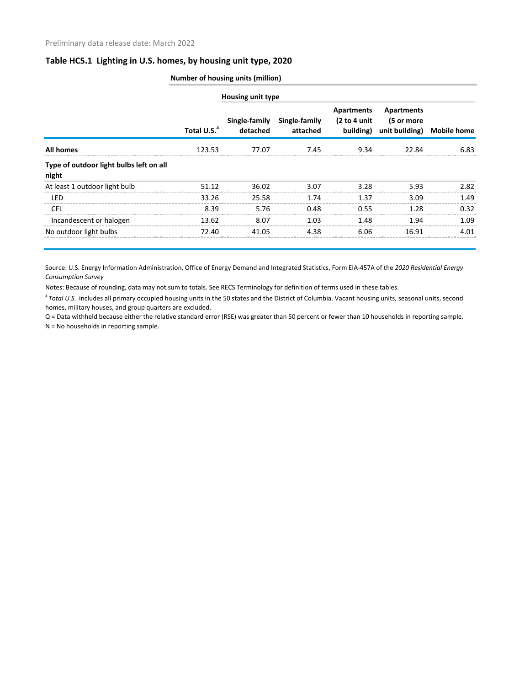#### **Table HC5.1 Lighting in U.S. homes, by housing unit type, 2020**

|                                                  | <b>Number of housing units (million)</b> |                          |                                         |                                         |                                            |                    |  |
|--------------------------------------------------|------------------------------------------|--------------------------|-----------------------------------------|-----------------------------------------|--------------------------------------------|--------------------|--|
|                                                  |                                          | <b>Housing unit type</b> |                                         |                                         |                                            |                    |  |
|                                                  | Total U.S. <sup>a</sup>                  | detached                 | Single-family Single-family<br>attached | Apartments<br>(2 to 4 unit<br>building) | Apartments<br>(5 or more<br>unit building) | <b>Mobile home</b> |  |
| <b>All homes</b>                                 | 123.53                                   | 77.07                    | 7.45                                    | 9.34                                    | 22.84                                      | 6.83               |  |
| Type of outdoor light bulbs left on all<br>night |                                          |                          |                                         |                                         |                                            |                    |  |
| At least 1 outdoor light bulb                    | 51.12                                    | 36.02                    | 3.07                                    | 3.28                                    | 5.93                                       | 2.82               |  |
| LED                                              | 33.26                                    | 25.58                    | 1.74                                    | 1.37                                    | 3.09                                       | 1.49               |  |
| <b>CFL</b>                                       | 8.39                                     | 5.76                     | 0.48                                    | 0.55                                    | 1.28                                       | 0.32               |  |
| Incandescent or halogen                          | 13.62                                    | 8.07                     | 1.03                                    | 1.48                                    | 1.94                                       | 1.09               |  |
| No outdoor light bulbs                           | 72.40                                    | 41.05                    | 4.38                                    | 6.06                                    | 16.91                                      | 4.01               |  |

Source: U.S. Energy Information Administration, Office of Energy Demand and Integrated Statistics, Form EIA-457A of the *2020 Residential Energy Consumption Survey*

Notes: Because of rounding, data may not sum to totals. See RECS Terminology for definition of terms used in these tables.

<sup>a</sup> Total U.S. includes all primary occupied housing units in the 50 states and the District of Columbia. Vacant housing units, seasonal units, second homes, military houses, and group quarters are excluded.

Q = Data withheld because either the relative standard error (RSE) was greater than 50 percent or fewer than 10 households in reporting sample. N = No households in reporting sample.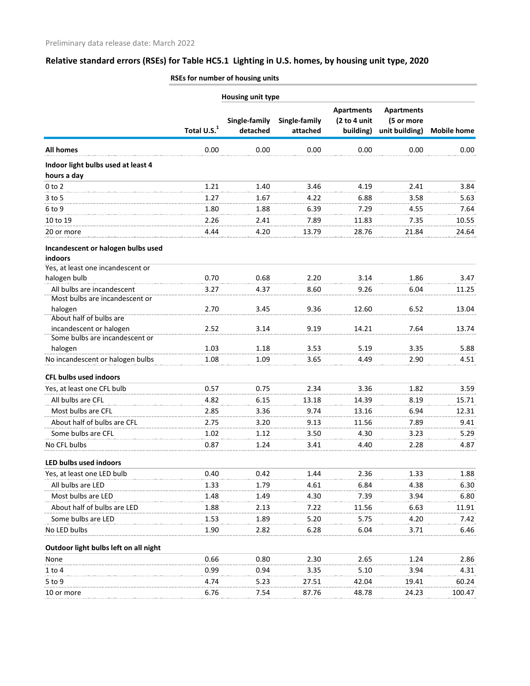# **Relative standard errors (RSEs) for Table HC5.1 Lighting in U.S. homes, by housing unit type, 2020**

|                                                              | Housing unit type       |                           |                           |                                                |                                                   |                    |  |
|--------------------------------------------------------------|-------------------------|---------------------------|---------------------------|------------------------------------------------|---------------------------------------------------|--------------------|--|
|                                                              | Total U.S. <sup>1</sup> | Single-family<br>detached | Single-family<br>attached | <b>Apartments</b><br>(2 to 4 unit<br>building) | <b>Apartments</b><br>(5 or more<br>unit building) | <b>Mobile home</b> |  |
|                                                              |                         |                           |                           |                                                |                                                   |                    |  |
| <b>All homes</b>                                             | 0.00                    | 0.00                      | 0.00                      | 0.00                                           | 0.00                                              | 0.00               |  |
| Indoor light bulbs used at least 4                           |                         |                           |                           |                                                |                                                   |                    |  |
| hours a day                                                  |                         |                           |                           |                                                |                                                   |                    |  |
| $0$ to $2$                                                   | 1.21                    | 1.40                      | 3.46                      | 4.19                                           | 2.41                                              | 3.84               |  |
| $3$ to $5$                                                   | 1.27                    | 1.67                      | 4.22                      | 6.88                                           | 3.58                                              | 5.63               |  |
| 6 to 9                                                       | 1.80                    | 1.88                      | 6.39                      | 7.29                                           | 4.55                                              | 7.64               |  |
| 10 to 19                                                     | 2.26                    | 2.41                      | 7.89                      | 11.83                                          | 7.35                                              | 10.55              |  |
| 20 or more                                                   | 4.44                    | 4.20                      | 13.79                     | 28.76                                          | 21.84                                             | 24.64              |  |
| Incandescent or halogen bulbs used                           |                         |                           |                           |                                                |                                                   |                    |  |
| indoors                                                      |                         |                           |                           |                                                |                                                   |                    |  |
| Yes, at least one incandescent or                            |                         |                           |                           |                                                |                                                   |                    |  |
| halogen bulb                                                 | 0.70                    | 0.68                      | 2.20                      | 3.14                                           | 1.86                                              | 3.47               |  |
| All bulbs are incandescent<br>Most bulbs are incandescent or | 3.27                    | 4.37                      | 8.60                      | 9.26                                           | 6.04                                              | 11.25              |  |
| halogen                                                      | 2.70                    | 3.45                      | 9.36                      | 12.60                                          | 6.52                                              | 13.04              |  |
| About half of bulbs are                                      |                         |                           |                           |                                                |                                                   |                    |  |
| incandescent or halogen                                      | 2.52                    | 3.14                      | 9.19                      | 14.21                                          | 7.64                                              | 13.74              |  |
| Some bulbs are incandescent or                               |                         |                           |                           |                                                |                                                   |                    |  |
| halogen                                                      | 1.03                    | 1.18                      | 3.53                      | 5.19                                           | 3.35                                              | 5.88               |  |
| No incandescent or halogen bulbs                             | 1.08                    | 1.09                      | 3.65                      | 4.49                                           | 2.90                                              | 4.51               |  |
| <b>CFL bulbs used indoors</b>                                |                         |                           |                           |                                                |                                                   |                    |  |
| Yes, at least one CFL bulb                                   | 0.57                    | 0.75                      | 2.34                      | 3.36                                           | 1.82                                              | 3.59               |  |
| All bulbs are CFL                                            | 4.82                    | 6.15                      | 13.18                     | 14.39                                          | 8.19                                              | 15.71              |  |
| Most bulbs are CFL                                           | 2.85                    | 3.36                      | 9.74                      | 13.16                                          | 6.94                                              | 12.31              |  |
| About half of bulbs are CFL                                  | 2.75                    | 3.20                      | 9.13                      | 11.56                                          | 7.89                                              | 9.41               |  |
| Some bulbs are CFL                                           | 1.02                    | 1.12                      | 3.50                      | 4.30                                           | 3.23                                              | 5.29               |  |
| No CFL bulbs                                                 | 0.87                    | 1.24                      | 3.41                      | 4.40                                           | 2.28                                              | 4.87               |  |
| LED bulbs used indoors                                       |                         |                           |                           |                                                |                                                   |                    |  |
| Yes, at least one LED bulb                                   | 0.40                    | 0.42                      | 1.44                      | 2.36                                           | 1.33                                              | 1.88               |  |
| All bulbs are LED                                            | 1.33                    | 1.79                      | 4.61                      | 6.84                                           | 4.38                                              | 6.30               |  |
| Most bulbs are LED                                           | 1.48                    | 1.49                      | 4.30                      | 7.39                                           | 3.94                                              | 6.80               |  |
| About half of bulbs are LED                                  | 1.88                    | 2.13                      | 7.22                      | 11.56                                          | 6.63                                              | 11.91              |  |
| Some bulbs are LED                                           | 1.53                    | 1.89                      | 5.20                      | 5.75                                           | 4.20                                              | 7.42               |  |
| No LED bulbs                                                 | 1.90                    | 2.82                      | 6.28                      | 6.04                                           | 3.71                                              | 6.46               |  |
| Outdoor light bulbs left on all night                        |                         |                           |                           |                                                |                                                   |                    |  |
| None                                                         | 0.66                    | 0.80                      | 2.30                      | 2.65                                           | 1.24                                              | 2.86               |  |
| $1$ to $4$                                                   | 0.99                    | 0.94                      | 3.35                      | 5.10                                           | 3.94                                              | 4.31               |  |
| 5 to 9                                                       | 4.74                    | 5.23                      | 27.51                     | 42.04                                          | 19.41                                             | 60.24              |  |
| 10 or more                                                   | 6.76                    | 7.54                      | 87.76                     | 48.78                                          | 24.23                                             | 100.47             |  |

**RSEs for number of housing units**